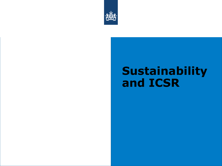

## **Sustainability and ICSR**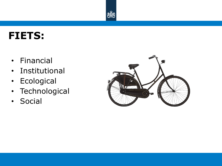

#### **FIETS:**

- Financial
- Institutional
- Ecological
- Technological
- Social

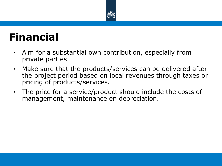

#### **Financial**

- Aim for a substantial own contribution, especially from private parties
- Make sure that the products/services can be delivered after the project period based on local revenues through taxes or pricing of products/services.
- The price for a service/product should include the costs of management, maintenance en depreciation.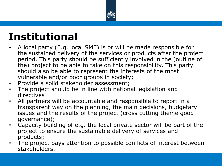

## **Institutional**

- A local party (E.g. local SME) is or will be made responsible for the sustained delivery of the services or products after the project period. This party should be sufficiently involved in the (outline of the) project to be able to take on this responsibility. This party should also be able to represent the interests of the most vulnerable and/or poor groups in society;
- Provide a solid stakeholder assessment;
- The project should be in line with national legislation and directives
- All partners will be accountable and responsible to report in a transparent way on the planning, the main decisions, budgetary issues and the results of the project (cross cutting theme good governance);
- Capacity building of e.g. the local private sector will be part of the project to ensure the sustainable delivery of services and products;
- The project pays attention to possible conflicts of interest between stakeholders.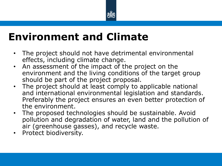

#### **Environment and Climate**

- The project should not have detrimental environmental effects, including climate change.
- An assessment of the impact of the project on the environment and the living conditions of the target group should be part of the project proposal.
- The project should at least comply to applicable national and international environmental legislation and standards. Preferably the project ensures an even better protection of the environment.
- The proposed technologies should be sustainable. Avoid pollution and degradation of water, land and the pollution of air (greenhouse gasses), and recycle waste.
- Protect biodiversity.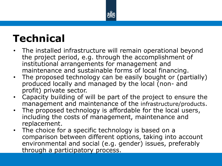

## **Technical**

- The installed infrastructure will remain operational beyond the project period, e.g. through the accomplishment of institutional arrangements for management and maintenance and sustainable forms of local financing.
- The proposed technology can be easily bought or (partially) produced locally and managed by the local (non- and profit) private sector.
- Capacity building of will be part of the project to ensure the management and maintenance of the infrastructure/products.
- The proposed technology is affordable for the local users, including the costs of management, maintenance and replacement.
- The choice for a specific technology is based on a comparison between different options, taking into account environmental and social (e.g. gender) issues, preferably through a participatory process.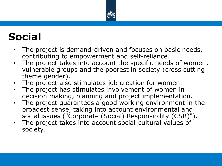

# **Social**

- The project is demand-driven and focuses on basic needs, contributing to empowerment and self-reliance.
- The project takes into account the specific needs of women, vulnerable groups and the poorest in society (cross cutting theme gender).
- The project also stimulates job creation for women.
- The project has stimulates involvement of women in decision making, planning and project implementation.
- The project guarantees a good working environment in the broadest sense, taking into account environmental and social issues ("Corporate (Social) Responsibility (CSR)").
- The project takes into account social-cultural values of society.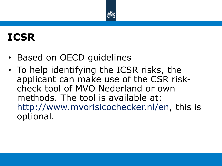

# **ICSR**

- Based on OECD guidelines
- To help identifying the ICSR risks, the applicant can make use of the CSR riskcheck tool of MVO Nederland or own methods. The tool is available at: [http://www.mvorisicochecker.nl/en,](http://www.mvorisicochecker.nl/en) this is optional.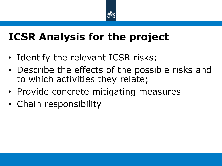

## **ICSR Analysis for the project**

- Identify the relevant ICSR risks;
- Describe the effects of the possible risks and to which activities they relate;
- Provide concrete mitigating measures
- Chain responsibility